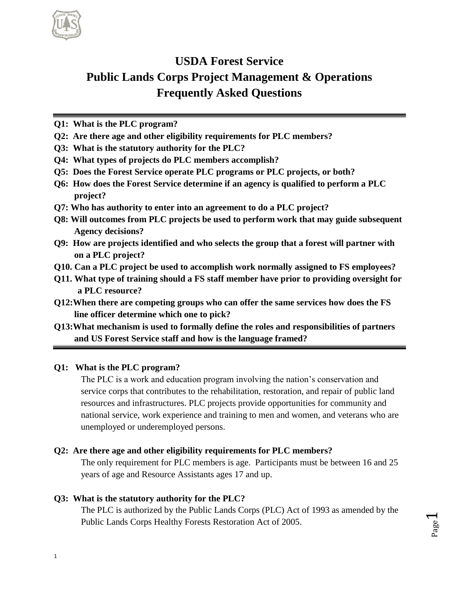

# **USDA Forest Service Public Lands Corps Project Management & Operations Frequently Asked Questions**

- **Q1: What is the PLC program?**
- **Q2: Are there age and other eligibility requirements for PLC members?**
- **Q3: What is the statutory authority for the PLC?**
- **Q4: What types of projects do PLC members accomplish?**
- **Q5: Does the Forest Service operate PLC programs or PLC projects, or both?**
- **Q6: How does the Forest Service determine if an agency is qualified to perform a PLC project?**
- **Q7: Who has authority to enter into an agreement to do a PLC project?**
- **Q8: Will outcomes from PLC projects be used to perform work that may guide subsequent Agency decisions?**
- **Q9: How are projects identified and who selects the group that a forest will partner with on a PLC project?**
- **Q10. Can a PLC project be used to accomplish work normally assigned to FS employees?**
- **Q11. What type of training should a FS staff member have prior to providing oversight for a PLC resource?**
- **Q12:When there are competing groups who can offer the same services how does the FS line officer determine which one to pick?**
- **Q13:What mechanism is used to formally define the roles and responsibilities of partners and US Forest Service staff and how is the language framed?**

# **Q1: What is the PLC program?**

The PLC is a work and education program involving the nation's conservation and service corps that contributes to the rehabilitation, restoration, and repair of public land resources and infrastructures. PLC projects provide opportunities for community and national service, work experience and training to men and women, and veterans who are unemployed or underemployed persons.

# **Q2: Are there age and other eligibility requirements for PLC members?**

The only requirement for PLC members is age. Participants must be between 16 and 25 years of age and Resource Assistants ages 17 and up.

# **Q3: What is the statutory authority for the PLC?**

The PLC is authorized by the Public Lands Corps (PLC) Act of 1993 as amended by the Public Lands Corps Healthy Forests Restoration Act of 2005.

Page  $\overline{\phantom{0}}$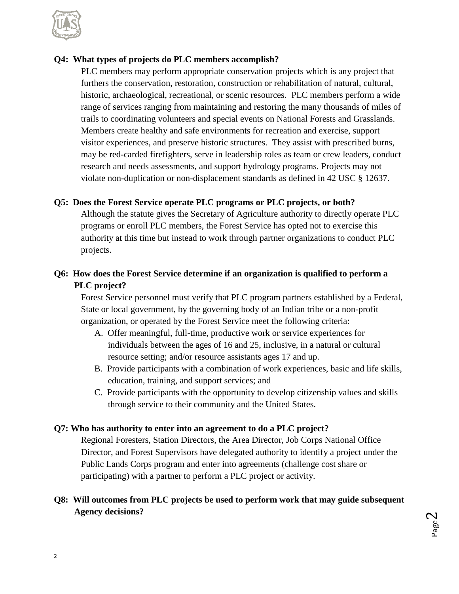

#### **Q4: What types of projects do PLC members accomplish?**

PLC members may perform appropriate conservation projects which is any project that furthers the conservation, restoration, construction or rehabilitation of natural, cultural, historic, archaeological, recreational, or scenic resources. PLC members perform a wide range of services ranging from maintaining and restoring the many thousands of miles of trails to coordinating volunteers and special events on National Forests and Grasslands. Members create healthy and safe environments for recreation and exercise, support visitor experiences, and preserve historic structures. They assist with prescribed burns, may be red-carded firefighters, serve in leadership roles as team or crew leaders, conduct research and needs assessments, and support hydrology programs. Projects may not violate non-duplication or non-displacement standards as defined in 42 USC § 12637.

#### **Q5: Does the Forest Service operate PLC programs or PLC projects, or both?**

Although the statute gives the Secretary of Agriculture authority to directly operate PLC programs or enroll PLC members, the Forest Service has opted not to exercise this authority at this time but instead to work through partner organizations to conduct PLC projects.

# **Q6: How does the Forest Service determine if an organization is qualified to perform a PLC project?**

Forest Service personnel must verify that PLC program partners established by a Federal, State or local government, by the governing body of an Indian tribe or a non-profit organization, or operated by the Forest Service meet the following criteria:

- A. Offer meaningful, full-time, productive work or service experiences for individuals between the ages of 16 and 25, inclusive, in a natural or cultural resource setting; and/or resource assistants ages 17 and up.
- B. Provide participants with a combination of work experiences, basic and life skills, education, training, and support services; and
- C. Provide participants with the opportunity to develop citizenship values and skills through service to their community and the United States.

#### **Q7: Who has authority to enter into an agreement to do a PLC project?**

Regional Foresters, Station Directors, the Area Director, Job Corps National Office Director, and Forest Supervisors have delegated authority to identify a project under the Public Lands Corps program and enter into agreements (challenge cost share or participating) with a partner to perform a PLC project or activity.

#### **Q8: Will outcomes from PLC projects be used to perform work that may guide subsequent Agency decisions?**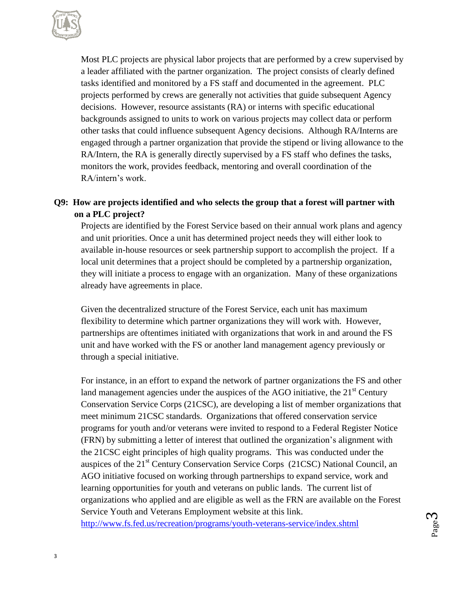

Most PLC projects are physical labor projects that are performed by a crew supervised by a leader affiliated with the partner organization. The project consists of clearly defined tasks identified and monitored by a FS staff and documented in the agreement. PLC projects performed by crews are generally not activities that guide subsequent Agency decisions. However, resource assistants (RA) or interns with specific educational backgrounds assigned to units to work on various projects may collect data or perform other tasks that could influence subsequent Agency decisions. Although RA/Interns are engaged through a partner organization that provide the stipend or living allowance to the RA/Intern, the RA is generally directly supervised by a FS staff who defines the tasks, monitors the work, provides feedback, mentoring and overall coordination of the RA/intern's work.

### **Q9: How are projects identified and who selects the group that a forest will partner with on a PLC project?**

Projects are identified by the Forest Service based on their annual work plans and agency and unit priorities. Once a unit has determined project needs they will either look to available in-house resources or seek partnership support to accomplish the project. If a local unit determines that a project should be completed by a partnership organization, they will initiate a process to engage with an organization. Many of these organizations already have agreements in place.

Given the decentralized structure of the Forest Service, each unit has maximum flexibility to determine which partner organizations they will work with. However, partnerships are oftentimes initiated with organizations that work in and around the FS unit and have worked with the FS or another land management agency previously or through a special initiative.

For instance, in an effort to expand the network of partner organizations the FS and other land management agencies under the auspices of the AGO initiative, the  $21<sup>st</sup>$  Century Conservation Service Corps (21CSC), are developing a list of member organizations that meet minimum 21CSC standards. Organizations that offered conservation service programs for youth and/or veterans were invited to respond to a Federal Register Notice (FRN) by submitting a letter of interest that outlined the organization's alignment with the 21CSC eight principles of high quality programs. This was conducted under the auspices of the 21<sup>st</sup> Century Conservation Service Corps (21CSC) National Council, an AGO initiative focused on working through partnerships to expand service, work and learning opportunities for youth and veterans on public lands. The current list of organizations who applied and are eligible as well as the FRN are available on the Forest Service Youth and Veterans Employment website at this link. <http://www.fs.fed.us/recreation/programs/youth-veterans-service/index.shtml>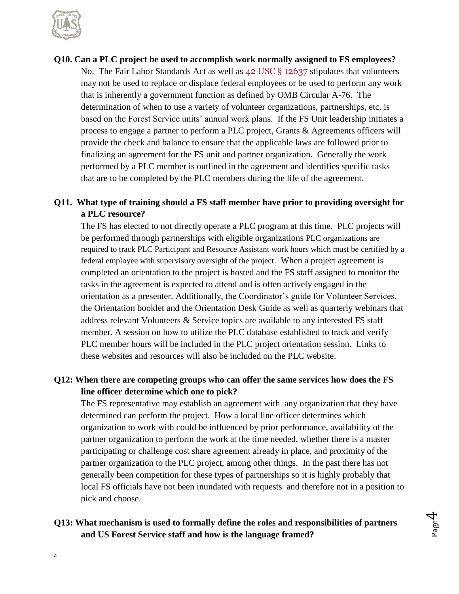

# **Q10. Can a PLC project be used to accomplish work normally assigned to FS employees?** No. The Fair Labor Standards Act as well as 42 USC § 12637 stipulates that volunteers may not be used to replace or displace federal employees or be used to perform any work that is inherently a government function as defined by OMB Circular A-76. The determination of when to use a variety of volunteer organizations, partnerships, etc. is based on the Forest Service units' annual work plans. If the FS Unit leadership initiates a process to engage a partner to perform a PLC project, Grants & Agreements officers will provide the check and balance to ensure that the applicable laws are followed prior to finalizing an agreement for the FS unit and partner organization. Generally the work performed by a PLC member is outlined in the agreement and identifies specific tasks that are to be completed by the PLC members during the life of the agreement.

# **Q11. What type of training should a FS staff member have prior to providing oversight for a PLC resource?**

The FS has elected to not directly operate a PLC program at this time. PLC projects will be performed through partnerships with eligible organizations PLC organizations are required to track PLC Participant and Resource Assistant work hours which must be certified by a federal employee with supervisory oversight of the project. When a project agreement is completed an orientation to the project is hosted and the FS staff assigned to monitor the tasks in the agreement is expected to attend and is often actively engaged in the orientation as a presenter. Additionally, the Coordinator's guide for Volunteer Services, the Orientation booklet and the Orientation Desk Guide as well as quarterly webinars that address relevant Volunteers & Service topics are available to any interested FS staff member. A session on how to utilize the PLC database established to track and verify PLC member hours will be included in the PLC project orientation session. Links to these websites and resources will also be included on the PLC website.

# **Q12: When there are competing groups who can offer the same services how does the FS line officer determine which one to pick?**

The FS representative may establish an agreement with any organization that they have determined can perform the project. How a local line officer determines which organization to work with could be influenced by prior performance, availability of the partner organization to perform the work at the time needed, whether there is a master participating or challenge cost share agreement already in place, and proximity of the partner organization to the PLC project, among other things. In the past there has not generally been competition for these types of partnerships so it is highly probably that local FS officials have not been inundated with requests and therefore not in a position to pick and choose.

#### **Q13: What mechanism is used to formally define the roles and responsibilities of partners and US Forest Service staff and how is the language framed?**